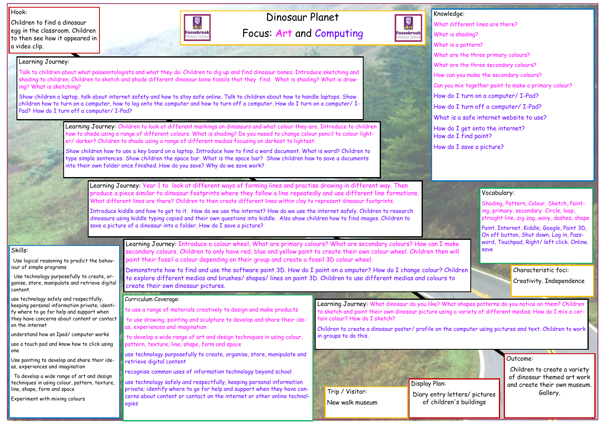## Dinosaur Planet Focus: Art and Computing



Hook:

Children to find a dinosaur egg in the classroom. Children to then see how it appeared in a video clip.

### Outcome:

Children to create a variety of dinosaur themed art work and create their own museum. Gallery.

### Knowledge: What different lines are there? What is shading? What is a pattern? What are the three primary colours? What are the three secondary colours? How can you make the secondary colours? Can you mix together paint to make a primary colour? How do I turn on a computer/ I-Pad? How do I turn off a computer/ I-Pad? What is a safe internet website to use? How do I get onto the internet? How do I find paint?

How do I save a picture?



### Skills:

· Use logical reasoning to predict the behaviour of simple programs

· Use technology purposefully to create, organise, store, manipulate and retrieve digital content.

use technology safely and respectfully, keeping personal information private; identify where to go for help and support when they have concerns about content or contact on the internet

understand how an Ipad/ computer works

use a touch pad and know how to click using one

Use painting to develop and share their ideas, experiences and imagination

· To develop a wide range of art and design techniques in using colour, pattern, texture, line, shape, form and space

Experiment with mixing colours

Learning Journey:

Introduce kiddle and how to get to it. How do we use the internet? How do we use the internet safely. Children to research dinosaurs using kiddle typing copied and their own questions into kiddle. Also show children how to find images. Children to save a picture of a dinosaur into a folder. How do I save a picture?

Talk to children about what palaeontologists and what they do. Children to dig up and find dinosaur bones. Introduce sketching and shading to children. Children to sketch and shade different dinosaur bone fossils that they find. What is shading? What is draw-

ing? What is sketching?

Pad? How do I turn off a computer/ I-Pad?



Show children a laptop, talk about internet safety and how to stay safe online. Talk to children about how to handle laptops. Show children how to turn on a computer, how to log onto the computer and how to turn off a computer. How do I turn on a computer/ I-

> Learning Journey: Children to look at different markings on dinosaurs and what colour they are. Introduce to children how to shade using a range of different colours. What is shading? Do you neeed to change colour pencil to colour lighter/ darker? Children to shade using a range of different medias focusing on darkest to lightest.

Show children how to use a key board on a laptop, Introduce how to find a word document. What is word? Children to type simple sentences. Show children the space bar. What is the space bar? Show children how to save a documents into their own folder once finished. How do you save? Why do we save work?

Learning Journey: Year 1 to look at different ways of forming lines and practise drawing in different way. Then produce a piece similar to dinosaur footprints where they follow a line repeatedly and use different line formations. What different lines are there? Children to then create different lines within clay to represent dinosaur footprints.

> Learning Journey: Introduce a colour wheel. What are primary colours? What are secondary colours? How can I make secondary colours. Children to only have red, blue and yellow paint to create their own colour wheel. Children then will paint their fossil a colour depending on their group and create a fossil 3D colour wheel.

Demonstrate how to find and use the software paint 3D. How do I paint on a omputer? How do I change colour? Children to explore different medias and brushes/ shapes/ lines on paint 3D. Children to use different medias and colours to create their own dinosaur pictures.

> Learning Journey: What dinosaur do you like? What shapes patterns do you notice on them? Children to sketch and paint their own dinosaur picture using a variety of different medias. How do I mix a certain colour? How do I sketch?

> Children to create a dinosaur poster/ profile on the computer using pictures and text. Children to work in groups to do this.

#### Curriculum Coverage:

- to use a range of materials creatively to design and make products
- to use drawing, painting and sculpture to develop and share their ideas, experiences and imagination

to develop a wide range of art and design techniques in using colour, pattern, texture, line, shape, form and space

use technology purposefully to create, organise, store, manipulate and retrieve digital content

recognise common uses of information technology beyond school

use technology safely and respectfully, keeping personal information private; identify where to go for help and support when they have concerns about content or contact on the internet or other online technologies

### Vocabulary:

Shading, Pattern, Colour, Sketch, Painting, primary, secondary Circle, loop, straight line, zig zag, wavy, dashes, shape

Paint. Internet. Kiddle, Google, Paint 3D, On off button, Shut down, Log in, Password, Touchpad, Right/ left click. Online. save



of children's buildings

Characteristic foci:

Creativity. Independence